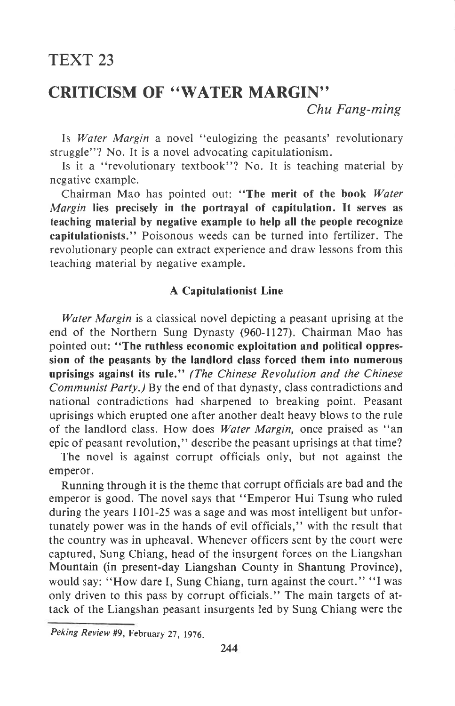# TEXT 23

## CRITICISM OF "WATER MARGIN"

Chu Fang-ming

ls Wqter Margin a novel "eulogizing the peasants' revolutionary struggle"? No. It is a novel advocating capitulationism.

Is it a "revolutionary textbook"? No. It is teaching material by negative example.

Chairman Mao has pointed out: "The merit of the book Water Margin lies precisely in the portrayal of capitulation. It serves as teaching material by negative example to help all the people recognize capitulationists." Poisonous weeds can be turned into fertilizer. The revolutionary people can extract experience and draw lessons from this teaching material by negative example.

#### A Capitulationist Line

Water Margin is a classical novel depicting a peasant uprising at the end of the Northern Sung Dynasty (960-1127). Chairman Mao has pointed out: "The ruthless economic exploitation and political oppression of the peasants by the landlord class forced them into numerous uprisings against its rule." (The Chinese Revolution and the Chinese Communist Party.) By the end of that dynasty, class contradictions and national contradictions had sharpened to breaking point. Peasant uprisings which erupted one after another dealt heavy blows to the rule of the landlord class. How does Water Margin, once praised as "an epic of peasant revolution," describe the peasant uprisings at that time?

The novel is against corrupt officials only, but not against the emperor.

Running through it is the theme that corrupt officials are bad and the emperor is good. The novel says that "Emperor Hui Tsung who ruled during the years 1101-25 was a sage and was most intelligent but unfortunately power was in the hands of evil officials," with the result that the country was in upheaval. Whenever officers sent by the court were captured, Sung Chiang, head of the insurgent forces on the Liangshan Mountain (in present-day Liangshan County in Shantung Province), would say: "How dare I, Sung Chiang, turn against the court." "I was only driven to this pass by corrupt officials." The main targets of attack of the Liangshan peasant insurgents led by Sung Chiang were the

Peking Review #9, February 27, 1976.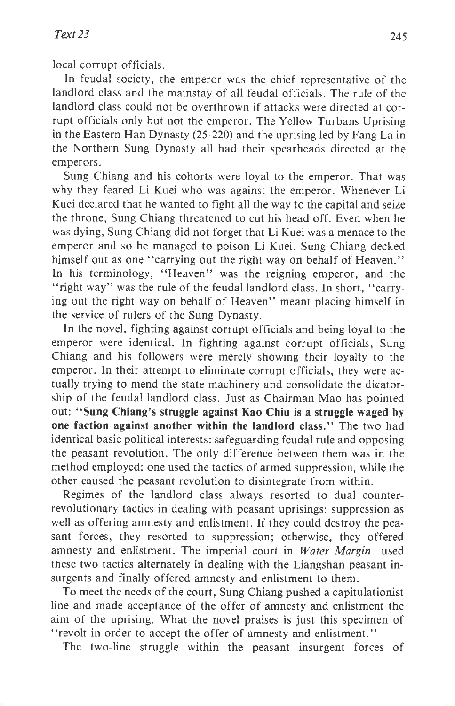local corrupt officials.

In feudal society, the emperor was the chief representative of the landlord class and the mainstay of all feudal officials. The rule of the landlord class could not be overthrown if attacks were directed at corrupt officials only but not the emperor. The Yellow Turbans Uprising in the Eastern Han Dynasty (25-220) and the uprising led by Fang La in the Northern Sung Dynasty all had their spearheads directed at the emperors.

Sung Chiang and his cohorts were loyal to the emperor. That was why they feared Li Kuei who was against the emperor. Whenever Li Kuei declared that he wanted to fight all the way to the capital and seize the throne, Sung Chiang threatened to cut his head off. Even when he was dying, Sung Chiang did not forget that Li Kuei was a menace to the emperor and so he managed to poison Li Kuei. Sung Chiang decked himself out as one "carrying out the right way on behalf of Heaven." In his terminology, "Heaven" was the reigning emperor, and the "right way" was the rule of the feudal landlord class. In short, "carrying out the right way on behalf of Heaven" meant placing himself in the service of rulers of the Sung Dynasty.

In the novel, fighting against corrupt officials and being loyal to the emperor were identical. In fighting against corrupt officials, Sung Chiang and his followers were merely showing their loyalty to the emperor. In their attempt to eliminate corrupt officials, they were actually trying to mend the state machinery and consolidate the dicatorship of the feudal landlord class. Just as Chairman Mao has pointed out: "Sung Chiang's struggle against Kao Chiu is a struggle waged by one faction against another within the landlord class." The two had identical basic political interests: safeguarding feudal rule and opposing the peasant revolution. The only difference between them was in the method employed: one used the tactics of armed suppression, while the other caused the peasant revolution to disintegrate from within.

Regimes of the landlord class always resorted to dual counterrevolutionary tactics in dealing with peasant uprisings: suppression as well as offering amnesty and enlistment. If they could destroy the peasant forces, they resorted to suppression; otherwise, they offered amnesty and enlistment. The imperial court in Water Margin used these two tactics alternately in dealing with the Liangshan peasant insurgents and finally offered amnesty and enlistment to them.

To meet the needs of the court, Sung Chiang pushed a capitulationist Iine and made acceptance of the offer of amnesty and enlistment the aim of the uprising. What the novel praises is just this specimen of "revolt in order to accept the offer of amnesty and enlistment."

The two-line struggle within the peasant insurgent forces of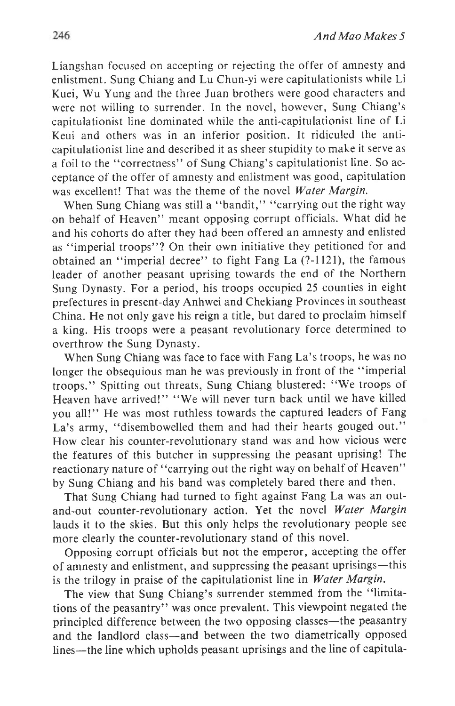Liangshan focused on accepting or rejecting the offer of amnesty and enlistment. Sung Chiang and Lu Chun-yi were capitulationists while Li Kuei, Wu Yung and the three Juan brothers were good characters and were not willing to surrender. In the novel, however, Sung Chiang's capituiationist line dominated while the anti-capitulationist line of Li Keui and others was in an inferior position. It ridiculed the anticapitulationist line and described it as sheer stupidity to make it serve as a foil to the "correctness" of Sung Chiang's capitulationist line. So acceptance of the offer of amnesty and enlistment was good, capitulation was excellent! That was the theme of the novel Water Margin.

When Sung Chiang was still a "bandit," "carrying out the right way on behalf of Heaven" meant opposing corrupt officials. What did he and his cohorts do after they had been offered an amnesty and enlisted as "imperial troops"? On their own initiative they petitioned for and obtained an "imperial decree" to fight Fang La (?-ll2l), the famous leader of another peasant uprising towards the end of the Northern Sung Dynasty. For a period, his troops occupied 25 counties in eight prefectures in present-day Anhwei and Chekiang Provinces in southeast China. He not only gave his reign a title, but dared to proclaim himself a king. His troops were a peasant revolutionary force determined to overthrow the Sung Dynasty.

When Sung Chiang was face to face with Fang La's troops, he was no longer the obsequious man he was previously in front of the "imperial troops." Spitting out threats, Sung Chiang blustered: "We troops of Heaven have arrived!" "We will never turn back until we have killed you all!" He was most ruthless towards the captured leaders of Fang La's army, "disembowelled them and had their hearts gouged out." How clear his counter-revolutionary stand was and how vicious were the features of this butcher in suppressing the peasant uprising! The reactionary nature of "carrying out the right way on behalf of Heaven" by Sung Chiang and his band was completely bared there and then.

That Sung Chiang had turned to fight against Fang La was an outand-out counter-revolutionary action. Yet the novel Water Margin lauds it to the skies. But this only helps the revolutionary people see more clearly the counter-revolutionary stand of this novel.

Opposing corrupt officials but not the emperor, accepting the offer of amnesty and enlistment, and suppressing the peasant uprisings-this is the trilogy in praise of the capitulationist line in Water Margin.

The view that Sung Chiang's surrender stemmed from the "limitations of the peasantry" was once prevalent. This viewpoint negated the principled difference between the two opposing classes-the peasantry and the landlord class-and between the two diametrically opposed lines—the line which upholds peasant uprisings and the line of capitula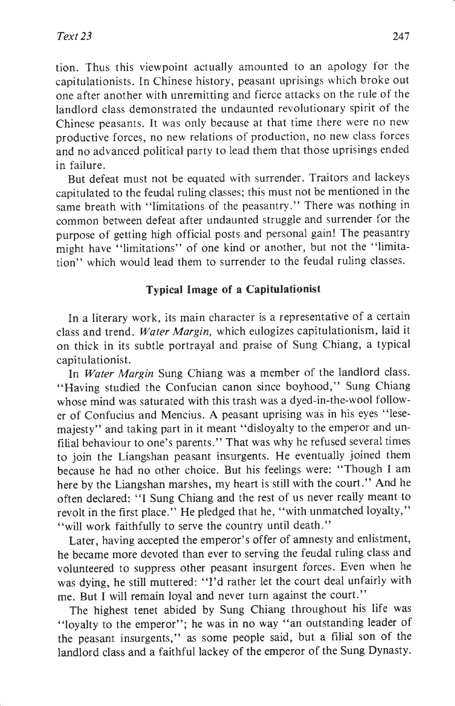tion. Thus this viewpoint actually amounted to an apology for the capitulationists. In Chinese history, peasant uprisings which broke out one after another with unremitting and fierce attacks on the rule of the landlord class demonstrated the undaunted revolutionary spirit of the Chinese peasants. It was only because at that time there were no new productive forces, no new relations of production, no new class forces and no advanced political party to lead them that those uprisings ended in failure.

But defeat must not be equated with surrender. Traitors and lackeys capitulated to the feudal ruling classes; this must not be mentioned in the same breath with "limitations of the peasantry." There was nothing in common between defeat after undaunted struggle and surrender for the purpose of getting high official posts and personal gain! The peasantry might have "limitations" of one kind or another, but not the "limitation" which would lead them to surrender to the feudal ruling classes.

### Typical Image of a Capitulationist

In a literary work, its main character is a representative of a certain class and trend. Water Margin, which eulogizes capitulationism, laid it on thick in its subtle portrayal and praise of Sung Chiang, a typical capitulationist.

In Water Margin Sung Chiang was a member of the landlord class. "Having studied the Confucian canon since boyhood," Sung Chiang whose mind was saturated with this trash was a dyed-in-the-wool follower of Confucius and Mencius. A peasant uprising was in his eyes "lesemajesty" and taking part in it meant "disloyalty to the emperor and unfilial behaviour to one's parents." That was why he refused several times to join the Liangshan peasant insurgents. He eventually joined them because he had no other choice. But his feelings were: "Though I am here by the Liangshan marshes, my heart is still with the court." And he often declared: "I Sung Chiang and the rest of us never really meant to revolt in the first place." He pledged that he, "with unmatched loyalty," "will work faithfully to serve the country until death."

Later, having accepted the emperor's offer of amnesty and enlistment, he became more devoted than ever to serving the feudal ruling class and volunteered to suppress other peasant insurgent forces. Even when he was dying, he still muttered: "I'd rather let the court deal unfairly with me. But I will remain loyal and never turn against the court."

The highest tenet abided by Sung Chiang throughout his life was "loyalty to the emperor"; he was in no way "an outstanding leader of the peasant insurgents," as some people said, but a filial son of the landlord class and a faithful lackey of the emperor of the Sung Dynasty.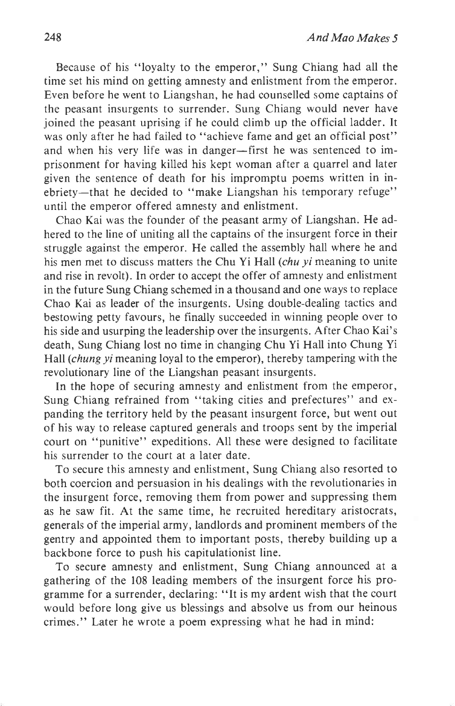Because of his "loyalty to the emperor," Sung Chiang had all the time set his mind on getting amnesty and enlistment from the emperor. Even before he went to Liangshan, he had counselled some captains of the peasant insurgents to surrender. Sung Chiang would never have joined the peasant uprising if he could climb up the official ladder. It was only after he had failed to "achieve fame and get an official post" and when his very life was in danger-first he was sentenced to imprisonment for having killed his kept woman after a quarrel and later given the sentence of death for his impromptu poems written in inebriety-that he decided to "make Liangshan his temporary refuge" until the emperor offered amnesty and enlistment.

Chao Kai was the founder of the peasant army of Liangshan. He adhered to the line of uniting all the captains of the insurgent force in their struggle against the emperor. He called the assembly hall where he and his men met to discuss matters the Chu Yi Hall (chu yi meaning to unite and rise in revolt). In order to accept the offer of amnesty and enlistment in the future Sung Chiang schemed in a thousand and one ways to replace Chao Kai as leader of the insurgents. Using double-dealing tactics and bestowing petty favours, he finally succeeded in winning people over to his side and usurping the leadership over the insurgents. After Chao Kai's death, Sung Chiang lost no time in changing Chu Yi Hall into Chung Yi Hall (chung yi meaning loyal to the emperor), thereby tampering with the revolutionary line of the Liangshan peasant insurgents.

In the hope of securing amnesty and enlistment from the emperor, Sung Chiang refrained from "taking cities and prefectures" and expanding the territory held by the peasant insurgent force, but went out of his way to release captured generals and troops sent by the imperial court on "punitive" expeditions. All these were designed to facilitate his surrender to the court at a later date.

To secure this amnesty and enlistment, Sung Chiang also resorted to both coercion and persuasion in his dealings with the revolutionaries in the insurgent force, removing them from power and suppressing them as he saw fit. At the same time, he recruited hereditary aristocrats, generals of the imperial army, landlords and prominent members of the gentry and appointed them to important posts, thereby building up a backbone force to push his capitulationist line.

To secure amnesty and enlistment, Sung Chiang announced at <sup>a</sup> gathering of the 108 leading members of the insurgent force his programme for a surrender, declaring: "It is my ardent wish that the court would before long give us blessings and absolve us from our heinous crimes." Later he wrote a poem expressing what he had in mind: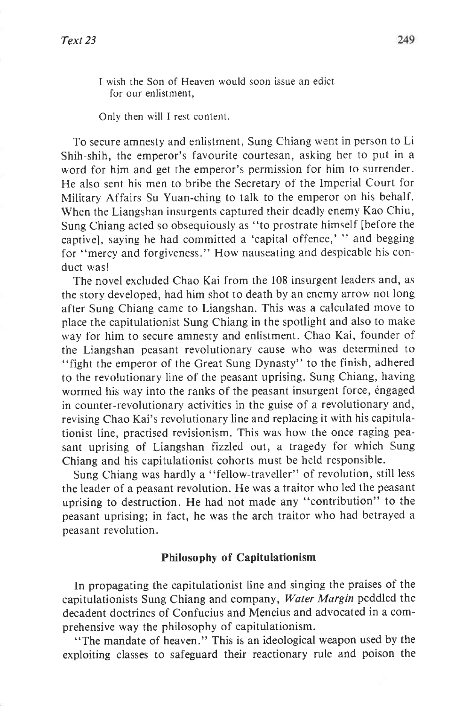I wish the Son of Heaven would soon issue an edict for our enlistment,

Only then will I rest content.

To secure amnesty and enlistment, Sung Chiang went in person to Li Shih-shih, the emperor's favourite courtesan, asking her to put in <sup>a</sup> word for him and get the emperor's permission for him to surrender. He also sent his men to bribe the Secretary of the Imperial Court for Military Affairs Su Yuan-ching to talk to the emperor on his behalf. When the Liangshan insurgents captured their deadly enemy Kao Chiu, Sung Chiang acted so obsequiously as "to prostrate himself [before the captivel, saying he had committed a 'capital offence,' " and begging for "mercy and forgiveness." How nauseating and despicable his conduct was!

The novel excluded Chao Kai from the 108 insurgent leaders and, as the story developed, had him shot to death by an enemy arrow not long after Sung Chiang came to Liangshan. This was a calculated move to place the capitulationist Sung Chiang in the spotlight and also to make way for him to secure amnesty and enlistment. Chao Kai, founder of the Liangshan peasant revolutionary cause who was determined to "fight the emperor of the Great Sung Dynasty" to the finish, adhered to the revolutionary line of the peasant uprising. Sung Chiang, having wormed his way into the ranks of the peasant insurgent force, engaged in counter-revolutionary activities in the guise of a revolutionary and, revising Chao Kai's revolutionary line and replacing it with his capitulationist line, practised revisionism. This was how the once raging peasant uprising of Liangshan fizzled out, a tragedy for which Sung Chiang and his capitulationist cohorts must be held responsible.

Sung Chiang was hardly a "fellow-traveller" of revolution, still less the leader of a peasant revolution. He was a traitor who led the peasant uprising to destruction. He had not made any "contribution" to the peasant uprising; in fact, he was the arch traitor who had betrayed <sup>a</sup> peasant revolution.

#### Philosophy of Capitulationism

In propagating the capitulationist line and singing the praises of the capitulationists Sung Chiang and company, Water Margin peddled the decadent doctrines of Confucius and Mencius and advocated in a comprehensive way the philosophy of capitulationism.

"The mandate of heaven." This is an ideological weapon used by the exploiting classes to safeguard their reactionary rule and poison the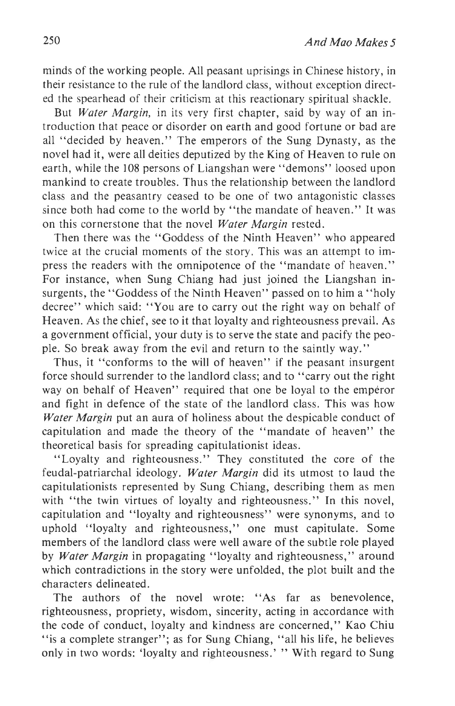minds of the working people. All peasant uprisings in Chinese history, in their resistance to the rule of the landlord class, without exception directed the spearhead of their criticism at this reactionary spiritual shackle.

But *Water Margin*, in its very first chapter, said by way of an introduction that peace or disorder on earth and good fortune or bad are all "decided by heaven." The emperors of the Sung Dynasty, as the novel had it, were all deities deputized by the King of Heaven to rule on earth, while the 108 persons of Liangshan were "demons" ioosed upon mankind to create troubles. Thus the relationship between the landlord class and the peasantry ceased to be one of two antagonistic classes since both had come to the world by "the mandate of heaven." It was on this cornerstone that the novel Water Margin rested.

Then there was the "Goddess of the Ninth Heaven" who appeared twice at the crucial moments of the story. This was an attempt to impress the readers with the omnipotence of the "mandate of heaven." For instance, when Sung Chiang had just joined the Liangshan insurgents, the "Goddess of the Ninth Heaven" passed on to him a "holy decree" which said: "You are to carry out the right way on behalf of Heaven. As the chief, see to it that loyalty and righteousness prevail. As a government official, your duty is to serve the state and pacify the people. So break away from the evil and return to the saintly way."

Thus, it "conforms to the will of heaven" if the peasant insurgent force should surrender to the landlord class; and to "carry out the right way on behalf of Heaven" required that one be loyal to the emperor and fight in defence of the state of the landlord class. This was how Water Margin put an aura of holiness about the despicable conduct of capitulation and made the theory of the "mandate of heaven" the theoretical basis for spreading capitulationist ideas.

"Loyalty and righteousness." They constituted the core of the feudal-patriarchal ideology. Water Margin did its utmost to laud the capitulationists represented by Sung Chiang, describing them as men with "the twin virtues of loyalty and righteousness." In this novel, capitulation and "loyalty and righteousness" were synonyms, and to uphold "loyalty and righteousness," one must capitulate. Some members of the landlord class were well aware of the subtle role played by *Water Margin* in propagating "loyalty and righteousness," around which contradictions in the story were unfolded, the plot built and the characters delineated.

The authors of the novel wrote: "As far as benevolence, righteousness, propriety, wisdom, sincerity, acting in accordance with the code of conduct, loyalty and kindness are concerned," Kao Chiu " is a complete stranger"; as for Sung Chiang, "all his life, he believes only in two words: 'loyalty and righteousness.' " With regard to Sung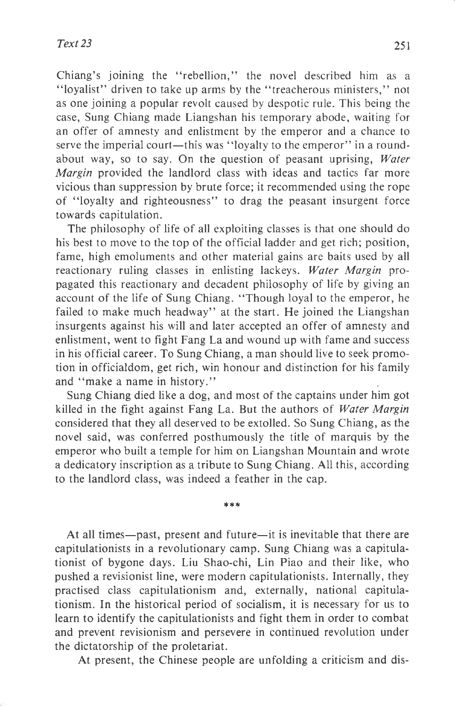Chiang's joining the "rebellion," the novel described him as <sup>a</sup> "loyalist" driven to take up arms by the "treacherous ministers," not as one joining a popular revolt caused by despotic rule. This being the case, Sung Chiang made Liangshan his temporary abode, waiting for an offer of amnesty and enlistment by the emperor and a chance to serve the imperial court—this was "loyalty to the emperor" in a roundabout way, so to say. On the question of peasant uprising,  $Water$ Margin provided the landlord class with ideas and tactics far more vicious than suppression by brute force; it recommended using the rope of "loyalty and righteousness" to drag the peasant insurgent force towards capitulation.

The philosophy of life of all exploiting classes is that one should do his best to move to the top of the official ladder and get rich; position, fame, high emoluments and other material gains are baits used by all reactionary ruling classes in enlisting lackeys. Water Margin propagated this reactionary and decadent philosophy of life by giving an account of the life of Sung Chiang. "Though loyal to the emperor, he failed to make much headway" at the start. He joined the Liangshan insurgents against his will and later accepted an offer of amnesty and enlistment, went to fight Fang La and wound up with fame and success in his official career. To Sung Chiang, a man should live to seek promotion in officialdom, get rich, win honour and distinction for his family and "make a name in history."

Sung Chiang died like a dog, and most of the captains under him got killed in the fight against Fang La. But the authors of Water Margin considered that they all deserved to be extolled. So Sung Chiang, as the novel said, was conferred posthumously the title of marquis by the emperor who built a temple for him on Liangshan Mountain and wrote a dedicatory inscription as a tribute to Sung Chiang. All this, according to the landlord class, was indeed a feather in the cap.

\*\*\*

At all times—past, present and future—it is inevitable that there are capitulationists in a revolutionary camp. Sung Chiang was a capitulationist of bygone days. Liu Shao-chi, Lin Piao and their like, who pushed a revisionist line, were modern capitulationists. Internally, they practised class capitulationism and, externally, national capitulationism. In the historical period of socialism, it is necessary for us to learn to identify the capitulationists and fight them in order to combat and prevent revisionism and persevere in continued revolution under the dictatorship of the proletariat.

At present, the Chinese people are unfolding a criticism and dis-